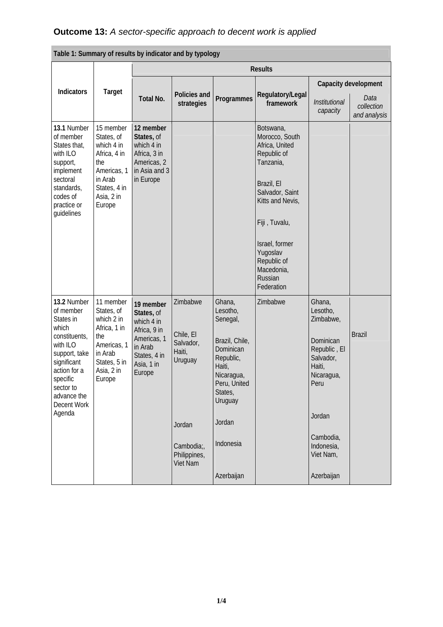| Table 1: Summary of results by indicator and by typology                                                                                                                                     |                                                                                                                                |                                                                                                                         |                                                                                                                   |                                                                                                                                                                               |                                                                                                                                                                                                                                     |                                                                                                                                                                           |                                    |
|----------------------------------------------------------------------------------------------------------------------------------------------------------------------------------------------|--------------------------------------------------------------------------------------------------------------------------------|-------------------------------------------------------------------------------------------------------------------------|-------------------------------------------------------------------------------------------------------------------|-------------------------------------------------------------------------------------------------------------------------------------------------------------------------------|-------------------------------------------------------------------------------------------------------------------------------------------------------------------------------------------------------------------------------------|---------------------------------------------------------------------------------------------------------------------------------------------------------------------------|------------------------------------|
|                                                                                                                                                                                              |                                                                                                                                | <b>Results</b>                                                                                                          |                                                                                                                   |                                                                                                                                                                               |                                                                                                                                                                                                                                     |                                                                                                                                                                           |                                    |
|                                                                                                                                                                                              |                                                                                                                                |                                                                                                                         |                                                                                                                   |                                                                                                                                                                               |                                                                                                                                                                                                                                     | Capacity development                                                                                                                                                      |                                    |
| Indicators                                                                                                                                                                                   | <b>Target</b>                                                                                                                  | Total No.                                                                                                               | Policies and<br>strategies                                                                                        | Programmes                                                                                                                                                                    | Regulatory/Legal<br>framework                                                                                                                                                                                                       | Institutional<br>capacity                                                                                                                                                 | Data<br>collection<br>and analysis |
| 13.1 Number<br>of member<br>States that,<br>with ILO<br>support,<br>implement<br>sectoral<br>standards,<br>codes of<br>practice or<br>guidelines                                             | 15 member<br>States, of<br>which 4 in<br>Africa, 4 in<br>the<br>Americas, 1<br>in Arab<br>States, 4 in<br>Asia, 2 in<br>Europe | 12 member<br>States, of<br>which 4 in<br>Africa, 3 in<br>Americas, 2<br>in Asia and 3<br>in Europe                      |                                                                                                                   |                                                                                                                                                                               | Botswana,<br>Morocco, South<br>Africa, United<br>Republic of<br>Tanzania,<br>Brazil, El<br>Salvador, Saint<br>Kitts and Nevis,<br>Fiji, Tuvalu,<br>Israel, former<br>Yugoslav<br>Republic of<br>Macedonia,<br>Russian<br>Federation |                                                                                                                                                                           |                                    |
| 13.2 Number<br>of member<br>States in<br>which<br>constituents,<br>with ILO<br>support, take<br>significant<br>action for a<br>specific<br>sector to<br>advance the<br>Decent Work<br>Agenda | 11 member<br>States, of<br>which 2 in<br>Africa, 1 in<br>the<br>Americas, 1<br>in Arab<br>States, 5 in<br>Asia, 2 in<br>Europe | 19 member<br>States, of<br>which 4 in<br>Africa, 9 in<br>Americas, 1<br>in Arab<br>States, 4 in<br>Asia, 1 in<br>Europe | Zimbabwe<br>Chile, El<br>Salvador,<br>Haiti,<br>Uruguay<br>Jordan<br>Cambodia;<br>Philippines,<br><b>Viet Nam</b> | Ghana,<br>Lesotho,<br>Senegal,<br>Brazil, Chile,<br>Dominican<br>Republic,<br>Haiti,<br>Nicaragua,<br>Peru, United<br>States,<br>Uruguay<br>Jordan<br>Indonesia<br>Azerbaijan | Zimbabwe                                                                                                                                                                                                                            | Ghana,<br>Lesotho,<br>Zimbabwe,<br>Dominican<br>Republic, El<br>Salvador,<br>Haiti,<br>Nicaragua,<br>Peru<br>Jordan<br>Cambodia,<br>Indonesia,<br>Viet Nam,<br>Azerbaijan | <b>Brazil</b>                      |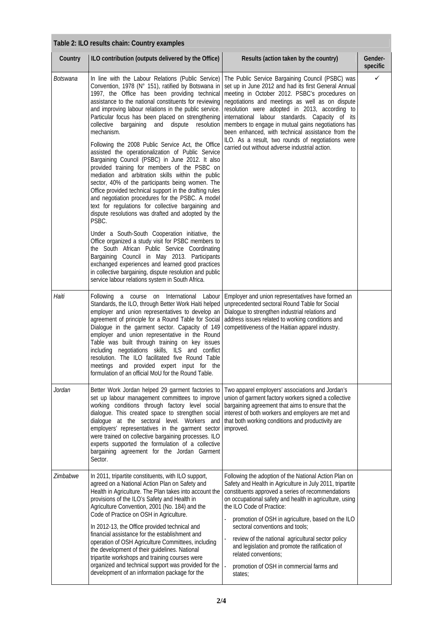| Table 2: ILO results chain: Country examples |                                                                                                                                                                                                                                                                                                                                                                                                                                                                                                                                                                                                                                                                                                                                                                                                                                                                                                                                                                    |                                                                                                                                                                                                                                                                                                                                                                                                                                                                                                                                                            |                     |  |
|----------------------------------------------|--------------------------------------------------------------------------------------------------------------------------------------------------------------------------------------------------------------------------------------------------------------------------------------------------------------------------------------------------------------------------------------------------------------------------------------------------------------------------------------------------------------------------------------------------------------------------------------------------------------------------------------------------------------------------------------------------------------------------------------------------------------------------------------------------------------------------------------------------------------------------------------------------------------------------------------------------------------------|------------------------------------------------------------------------------------------------------------------------------------------------------------------------------------------------------------------------------------------------------------------------------------------------------------------------------------------------------------------------------------------------------------------------------------------------------------------------------------------------------------------------------------------------------------|---------------------|--|
| Country                                      | ILO contribution (outputs delivered by the Office)                                                                                                                                                                                                                                                                                                                                                                                                                                                                                                                                                                                                                                                                                                                                                                                                                                                                                                                 | Results (action taken by the country)                                                                                                                                                                                                                                                                                                                                                                                                                                                                                                                      | Gender-<br>specific |  |
| Botswana                                     | In line with the Labour Relations (Public Service)<br>Convention, 1978 (N° 151), ratified by Botswana in<br>1997, the Office has been providing technical<br>assistance to the national constituents for reviewing<br>and improving labour relations in the public service.<br>Particular focus has been placed on strengthening<br>and dispute<br>collective<br>bargaining<br>resolution<br>mechanism.<br>Following the 2008 Public Service Act, the Office<br>assisted the operationalization of Public Service<br>Bargaining Council (PSBC) in June 2012. It also<br>provided training for members of the PSBC on<br>mediation and arbitration skills within the public<br>sector, 40% of the participants being women. The<br>Office provided technical support in the drafting rules<br>and negotiation procedures for the PSBC. A model<br>text for regulations for collective bargaining and<br>dispute resolutions was drafted and adopted by the<br>PSBC. | The Public Service Bargaining Council (PSBC) was<br>set up in June 2012 and had its first General Annual<br>meeting in October 2012. PSBC's procedures on<br>negotiations and meetings as well as on dispute<br>resolution were adopted in 2013, according to<br>international labour standards. Capacity of its<br>members to engage in mutual gains negotiations has<br>been enhanced, with technical assistance from the<br>ILO. As a result, two rounds of negotiations were<br>carried out without adverse industrial action.                         | ✓                   |  |
|                                              | Under a South-South Cooperation initiative, the<br>Office organized a study visit for PSBC members to<br>the South African Public Service Coordinating<br>Bargaining Council in May 2013. Participants<br>exchanged experiences and learned good practices<br>in collective bargaining, dispute resolution and public<br>service labour relations system in South Africa.                                                                                                                                                                                                                                                                                                                                                                                                                                                                                                                                                                                          |                                                                                                                                                                                                                                                                                                                                                                                                                                                                                                                                                            |                     |  |
| Haiti                                        | Following<br>a course on International<br>Labour<br>Standards, the ILO, through Better Work Haiti helped<br>employer and union representatives to develop an<br>agreement of principle for a Round Table for Social<br>Dialogue in the garment sector. Capacity of 149<br>employer and union representative in the Round<br>Table was built through training on key issues<br>including negotiations skills, ILS and conflict<br>resolution. The ILO facilitated five Round Table<br>meetings and provided expert input for the<br>formulation of an official MoU for the Round Table.                                                                                                                                                                                                                                                                                                                                                                             | Employer and union representatives have formed an<br>unprecedented sectoral Round Table for Social<br>Dialogue to strengthen industrial relations and<br>address issues related to working conditions and<br>competitiveness of the Haitian apparel industry.                                                                                                                                                                                                                                                                                              |                     |  |
| Jordan                                       | Better Work Jordan helped 29 garment factories to<br>set up labour management committees to improve<br>working conditions through factory level social<br>dialogue. This created space to strengthen social<br>dialogue at the sectoral level. Workers and<br>employers' representatives in the garment sector<br>were trained on collective bargaining processes. ILO<br>experts supported the formulation of a collective<br>bargaining agreement for the Jordan Garment<br>Sector.                                                                                                                                                                                                                                                                                                                                                                                                                                                                              | Two apparel employers' associations and Jordan's<br>union of garment factory workers signed a collective<br>bargaining agreement that aims to ensure that the<br>interest of both workers and employers are met and<br>that both working conditions and productivity are<br>improved.                                                                                                                                                                                                                                                                      |                     |  |
| Zimbabwe                                     | In 2011, tripartite constituents, with ILO support,<br>agreed on a National Action Plan on Safety and<br>Health in Agriculture. The Plan takes into account the<br>provisions of the ILO's Safety and Health in<br>Agriculture Convention, 2001 (No. 184) and the<br>Code of Practice on OSH in Agriculture.<br>In 2012-13, the Office provided technical and<br>financial assistance for the establishment and<br>operation of OSH Agriculture Committees, including<br>the development of their guidelines. National<br>tripartite workshops and training courses were<br>organized and technical support was provided for the<br>development of an information package for the                                                                                                                                                                                                                                                                                  | Following the adoption of the National Action Plan on<br>Safety and Health in Agriculture in July 2011, tripartite<br>constituents approved a series of recommendations<br>on occupational safety and health in agriculture, using<br>the ILO Code of Practice:<br>promotion of OSH in agriculture, based on the ILO<br>sectoral conventions and tools;<br>review of the national agricultural sector policy<br>i,<br>and legislation and promote the ratification of<br>related conventions;<br>l,<br>promotion of OSH in commercial farms and<br>states; |                     |  |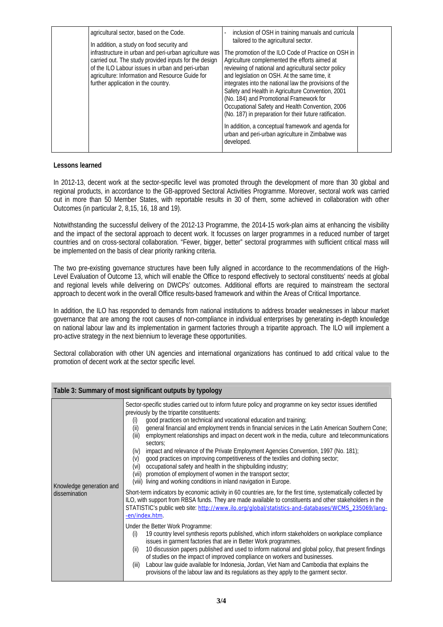| (No. 184) and Promotional Framework for<br>Occupational Safety and Health Convention, 2006<br>(No. 187) in preparation for their future ratification.<br>In addition, a conceptual framework and agenda for<br>urban and peri-urban agriculture in Zimbabwe was<br>developed. |  | agricultural sector, based on the Code.<br>In addition, a study on food security and<br>infrastructure in urban and peri-urban agriculture was<br>carried out. The study provided inputs for the design<br>of the ILO Labour issues in urban and peri-urban<br>agriculture: Information and Resource Guide for<br>further application in the country. | inclusion of OSH in training manuals and curricula<br>tailored to the agricultural sector.<br>The promotion of the ILO Code of Practice on OSH in<br>Agriculture complemented the efforts aimed at<br>reviewing of national and agricultural sector policy<br>and legislation on OSH. At the same time, it<br>integrates into the national law the provisions of the<br>Safety and Health in Agriculture Convention, 2001 |  |
|-------------------------------------------------------------------------------------------------------------------------------------------------------------------------------------------------------------------------------------------------------------------------------|--|-------------------------------------------------------------------------------------------------------------------------------------------------------------------------------------------------------------------------------------------------------------------------------------------------------------------------------------------------------|---------------------------------------------------------------------------------------------------------------------------------------------------------------------------------------------------------------------------------------------------------------------------------------------------------------------------------------------------------------------------------------------------------------------------|--|
|-------------------------------------------------------------------------------------------------------------------------------------------------------------------------------------------------------------------------------------------------------------------------------|--|-------------------------------------------------------------------------------------------------------------------------------------------------------------------------------------------------------------------------------------------------------------------------------------------------------------------------------------------------------|---------------------------------------------------------------------------------------------------------------------------------------------------------------------------------------------------------------------------------------------------------------------------------------------------------------------------------------------------------------------------------------------------------------------------|--|

## **Lessons learned**

In 2012-13, decent work at the sector-specific level was promoted through the development of more than 30 global and regional products, in accordance to the GB-approved Sectoral Activities Programme. Moreover, sectoral work was carried out in more than 50 Member States, with reportable results in 30 of them, some achieved in collaboration with other Outcomes (in particular 2, 8,15, 16, 18 and 19).

Notwithstanding the successful delivery of the 2012-13 Programme, the 2014-15 work-plan aims at enhancing the visibility and the impact of the sectoral approach to decent work. It focusses on larger programmes in a reduced number of target countries and on cross-sectoral collaboration. "Fewer, bigger, better" sectoral programmes with sufficient critical mass will be implemented on the basis of clear priority ranking criteria.

The two pre-existing governance structures have been fully aligned in accordance to the recommendations of the High-Level Evaluation of Outcome 13, which will enable the Office to respond effectively to sectoral constituents' needs at global and regional levels while delivering on DWCPs' outcomes. Additional efforts are required to mainstream the sectoral approach to decent work in the overall Office results-based framework and within the Areas of Critical Importance.

In addition, the ILO has responded to demands from national institutions to address broader weaknesses in labour market governance that are among the root causes of non-compliance in individual enterprises by generating in-depth knowledge on national labour law and its implementation in garment factories through a tripartite approach. The ILO will implement a pro-active strategy in the next biennium to leverage these opportunities.

Sectoral collaboration with other UN agencies and international organizations has continued to add critical value to the promotion of decent work at the sector specific level.

|                                           | Table 3: Summary of most significant outputs by typology                                                                                                                                                                                                                                                                                                                                                                                                                                                                                                                                                                                                                                                                                                                                                                                                                                                                                                                                                                                                                                                                                                                                                                                                                                                                                                                                                                                                                                                                                                                                                                                                                                                                                                                                                                                                      |
|-------------------------------------------|---------------------------------------------------------------------------------------------------------------------------------------------------------------------------------------------------------------------------------------------------------------------------------------------------------------------------------------------------------------------------------------------------------------------------------------------------------------------------------------------------------------------------------------------------------------------------------------------------------------------------------------------------------------------------------------------------------------------------------------------------------------------------------------------------------------------------------------------------------------------------------------------------------------------------------------------------------------------------------------------------------------------------------------------------------------------------------------------------------------------------------------------------------------------------------------------------------------------------------------------------------------------------------------------------------------------------------------------------------------------------------------------------------------------------------------------------------------------------------------------------------------------------------------------------------------------------------------------------------------------------------------------------------------------------------------------------------------------------------------------------------------------------------------------------------------------------------------------------------------|
| Knowledge generation and<br>dissemination | Sector-specific studies carried out to inform future policy and programme on key sector issues identified<br>previously by the tripartite constituents:<br>good practices on technical and vocational education and training;<br>(i)<br>general financial and employment trends in financial services in the Latin American Southern Cone;<br>(ii)<br>(iii)<br>employment relationships and impact on decent work in the media, culture and telecommunications<br>sectors;<br>impact and relevance of the Private Employment Agencies Convention, 1997 (No. 181);<br>(iv)<br>good practices on improving competitiveness of the textiles and clothing sector;<br>(v)<br>occupational safety and health in the shipbuilding industry;<br>(vi)<br>promotion of employment of women in the transport sector;<br>(vii)<br>(viii) living and working conditions in inland navigation in Europe.<br>Short-term indicators by economic activity in 60 countries are, for the first time, systematically collected by<br>ILO, with support from RBSA funds. They are made available to constituents and other stakeholders in the<br>STATISTIC's public web site: http://www.ilo.org/global/statistics-and-databases/WCMS_235069/lang-<br>-en/index.htm.<br>Under the Better Work Programme:<br>19 country level synthesis reports published, which inform stakeholders on workplace compliance<br>(i)<br>issues in garment factories that are in Better Work programmes.<br>10 discussion papers published and used to inform national and global policy, that present findings<br>(ii)<br>of studies on the impact of improved compliance on workers and businesses.<br>Labour law guide available for Indonesia, Jordan, Viet Nam and Cambodia that explains the<br>(iii)<br>provisions of the labour law and its regulations as they apply to the garment sector. |